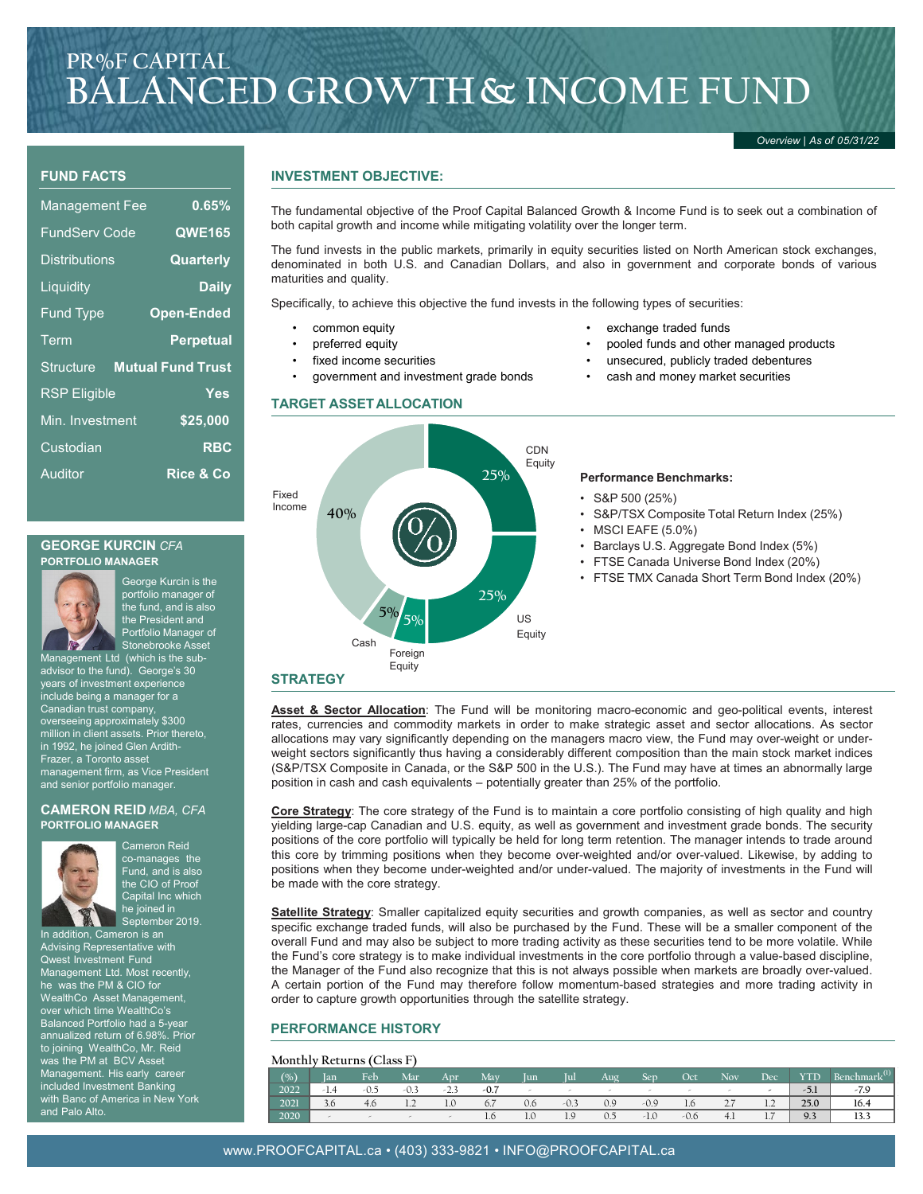# **PR%F CAPITAL BALANCED GROWTH& INCOME FUND**

*Overview | As of 05/31/22*

## **FUND FACTS**

| <b>Management Fee</b> | 0.65%                    |
|-----------------------|--------------------------|
| <b>FundServ Code</b>  | <b>QWE165</b>            |
| <b>Distributions</b>  | Quarterly                |
| Liquidity             | <b>Daily</b>             |
| <b>Fund Type</b>      | <b>Open-Ended</b>        |
| Term                  | <b>Perpetual</b>         |
| Structure             | <b>Mutual Fund Trust</b> |
| <b>RSP Eligible</b>   | Yes                      |
| Min. Investment       | \$25,000                 |
| Custodian             | <b>RBC</b>               |
| Auditor               | <b>Rice &amp; Co</b>     |

### **INVESTMENT OBJECTIVE:**

The fundamental objective of the Proof Capital Balanced Growth & Income Fund is to seek out a combination of both capital growth and income while mitigating volatility over the longer term.

The fund invests in the public markets, primarily in equity securities listed on North American stock exchanges, denominated in both U.S. and Canadian Dollars, and also in government and corporate bonds of various maturities and quality.

Specifically, to achieve this objective the fund invests in the following types of securities:

- common equity
- preferred equity
- fixed income securities
- government and investment grade bonds

#### **TARGET ASSETALLOCATION**

- exchange traded funds
- pooled funds and other managed products
- unsecured, publicly traded debentures
- cash and money market securities



### **STRATEGY**

**Asset & Sector Allocation**: The Fund will be monitoring macro-economic and geo-political events, interest rates, currencies and commodity markets in order to make strategic asset and sector allocations. As sector allocations may vary significantly depending on the managers macro view, the Fund may over-weight or underweight sectors significantly thus having a considerably different composition than the main stock market indices (S&P/TSX Composite in Canada, or the S&P 500 in the U.S.). The Fund may have at times an abnormally large position in cash and cash equivalents – potentially greater than 25% of the portfolio.

**Core Strategy**: The core strategy of the Fund is to maintain a core portfolio consisting of high quality and high yielding large-cap Canadian and U.S. equity, as well as government and investment grade bonds. The security positions of the core portfolio will typically be held for long term retention. The manager intends to trade around this core by trimming positions when they become over-weighted and/or over-valued. Likewise, by adding to positions when they become under-weighted and/or under-valued. The majority of investments in the Fund will be made with the core strategy.

**Satellite Strategy**: Smaller capitalized equity securities and growth companies, as well as sector and country specific exchange traded funds, will also be purchased by the Fund. These will be a smaller component of the overall Fund and may also be subject to more trading activity as these securities tend to be more volatile. While the Fund's core strategy is to make individual investments in the core portfolio through a value-based discipline, the Manager of the Fund also recognize that this is not always possible when markets are broadly over-valued. A certain portion of the Fund may therefore follow momentum-based strategies and more trading activity in order to capture growth opportunities through the satellite strategy.

#### **PERFORMANCE HISTORY**

#### **Monthly Returns (Class F)**

| 1101101111 - 100001110 1 01000 1 |                            |     |     |     |        |            |     |        |      |            |        |        |                   |                          |                          |
|----------------------------------|----------------------------|-----|-----|-----|--------|------------|-----|--------|------|------------|--------|--------|-------------------|--------------------------|--------------------------|
|                                  | $\left(\frac{0}{0}\right)$ | lan | Feb | Mar | Apr    | <b>May</b> | lun | Iul    | Aug. | <b>Sep</b> | Oct    | Nov    | Dec               | YTD                      | Benchmark <sup>(1)</sup> |
|                                  | 2022                       |     |     |     |        |            |     | $\sim$ |      |            |        |        | -                 | $\blacksquare$<br>$-5.1$ |                          |
|                                  | 2021                       |     | 4.6 |     | 1.0    |            | 0.6 | -0.3   | 0.9  | $-0.9$     | 1.6    | $\sim$ | $\sim$            | 25.0                     | 16.4                     |
|                                  | 2020                       |     |     |     | $\sim$ | 1.0        | 1.U | 1.9    | U.S  | $-1.0$     | $-0.6$ | $-4.1$ | $\rightarrow$<br> | 9.3                      | 13.3                     |





Management Ltd (which is the subadvisor to the fund). George's 30 years of investment experience include being a manager for a Canadian trust company, overseeing approximately \$300 million in client assets. Prior thereto, in 1992, he joined Glen Ardith-Frazer, a Toronto asset management firm, as Vice President and senior portfolio manager.

#### **CAMERON REID** *MBA, CFA* **PORTFOLIO MANAGER**



Cameron Reid co-manages the Fund, and is also the CIO of Proof Capital Inc which he joined in September 2019.

Stonebrooke Asset

Advising Representative with Qwest Investment Fund Management Ltd. Most recently, he was the PM & CIO for WealthCo Asset Management, over which time WealthCo's Balanced Portfolio had a 5-year annualized return of 6.98%. to joining WealthCo, Mr. Reid was the PM at BCV Asset Management. His early career included Investment Banking with Banc of America in New York and Palo Alto.